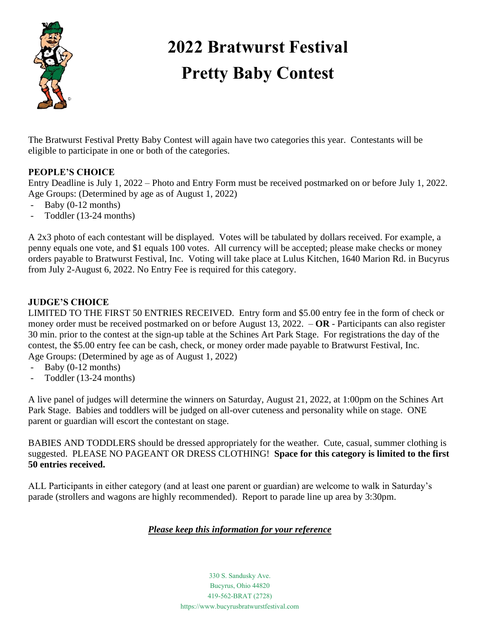

# **2022 Bratwurst Festival Pretty Baby Contest**

The Bratwurst Festival Pretty Baby Contest will again have two categories this year. Contestants will be eligible to participate in one or both of the categories.

### **PEOPLE'S CHOICE**

Entry Deadline is July 1, 2022 – Photo and Entry Form must be received postmarked on or before July 1, 2022. Age Groups: (Determined by age as of August 1, 2022)

- Baby (0-12 months)
- Toddler (13-24 months)

A 2x3 photo of each contestant will be displayed. Votes will be tabulated by dollars received. For example, a penny equals one vote, and \$1 equals 100 votes. All currency will be accepted; please make checks or money orders payable to Bratwurst Festival, Inc. Voting will take place at Lulus Kitchen, 1640 Marion Rd. in Bucyrus from July 2-August 6, 2022. No Entry Fee is required for this category.

## **JUDGE'S CHOICE**

LIMITED TO THE FIRST 50 ENTRIES RECEIVED. Entry form and \$5.00 entry fee in the form of check or money order must be received postmarked on or before August 13, 2022. – **OR** - Participants can also register 30 min. prior to the contest at the sign-up table at the Schines Art Park Stage. For registrations the day of the contest, the \$5.00 entry fee can be cash, check, or money order made payable to Bratwurst Festival, Inc. Age Groups: (Determined by age as of August 1, 2022)

- Baby  $(0-12$  months)
- Toddler (13-24 months)

A live panel of judges will determine the winners on Saturday, August 21, 2022, at 1:00pm on the Schines Art Park Stage. Babies and toddlers will be judged on all-over cuteness and personality while on stage. ONE parent or guardian will escort the contestant on stage.

BABIES AND TODDLERS should be dressed appropriately for the weather. Cute, casual, summer clothing is suggested. PLEASE NO PAGEANT OR DRESS CLOTHING! **Space for this category is limited to the first 50 entries received.** 

ALL Participants in either category (and at least one parent or guardian) are welcome to walk in Saturday's parade (strollers and wagons are highly recommended). Report to parade line up area by 3:30pm.

### *Please keep this information for your reference*

330 S. Sandusky Ave. Bucyrus, Ohio 44820 419-562-BRAT (2728) https://www.bucyrusbratwurstfestival.com